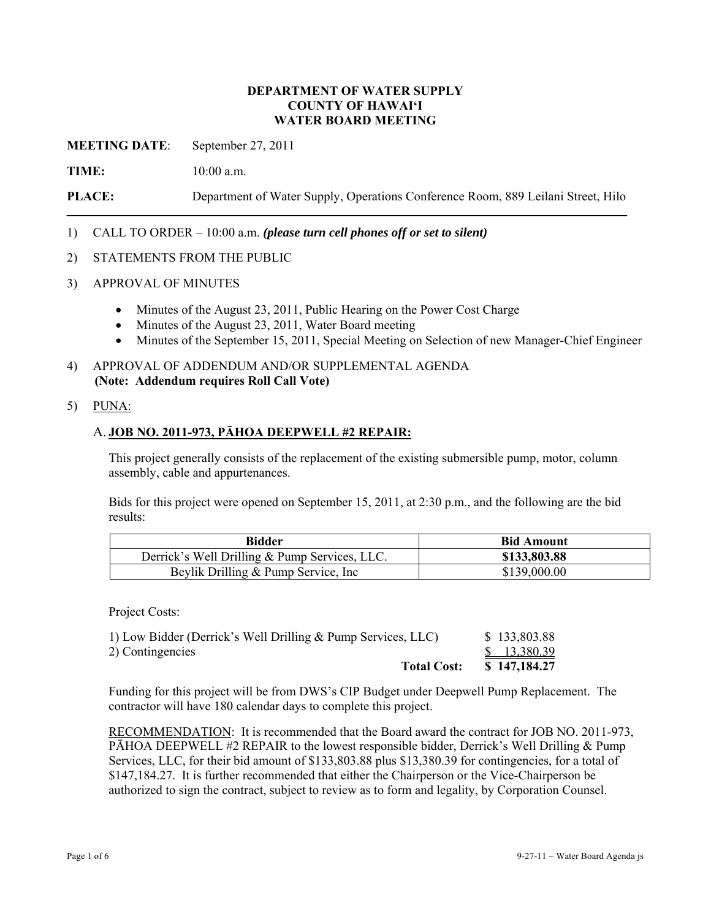### **DEPARTMENT OF WATER SUPPLY COUNTY OF HAWAI'I WATER BOARD MEETING**

**MEETING DATE**: September 27, 2011

**TIME:** 10:00 a.m.

**PLACE:** Department of Water Supply, Operations Conference Room, 889 Leilani Street, Hilo

### 1) CALL TO ORDER – 10:00 a.m. *(please turn cell phones off or set to silent)*

#### 2) STATEMENTS FROM THE PUBLIC

- 3) APPROVAL OF MINUTES
	- Minutes of the August 23, 2011, Public Hearing on the Power Cost Charge
	- Minutes of the August 23, 2011, Water Board meeting
	- Minutes of the September 15, 2011, Special Meeting on Selection of new Manager-Chief Engineer
- 4) APPROVAL OF ADDENDUM AND/OR SUPPLEMENTAL AGENDA **(Note: Addendum requires Roll Call Vote)**
- 5) PUNA:

#### A. **JOB NO. 2011-973, PĀHOA DEEPWELL #2 REPAIR:**

This project generally consists of the replacement of the existing submersible pump, motor, column assembly, cable and appurtenances.

Bids for this project were opened on September 15, 2011, at 2:30 p.m., and the following are the bid results:

| <b>Bidder</b>                                 | <b>Bid Amount</b> |
|-----------------------------------------------|-------------------|
| Derrick's Well Drilling & Pump Services, LLC. | \$133,803.88      |
| Beylik Drilling & Pump Service, Inc           | \$139,000.00      |

Project Costs:

| <b>Total Cost:</b>                                           | \$147,184.27 |
|--------------------------------------------------------------|--------------|
| 2) Contingencies                                             | \$13,380.39  |
| 1) Low Bidder (Derrick's Well Drilling & Pump Services, LLC) | \$133,803.88 |

Funding for this project will be from DWS's CIP Budget under Deepwell Pump Replacement. The contractor will have 180 calendar days to complete this project.

RECOMMENDATION: It is recommended that the Board award the contract for JOB NO. 2011-973, PĀHOA DEEPWELL #2 REPAIR to the lowest responsible bidder, Derrick's Well Drilling & Pump Services, LLC, for their bid amount of \$133,803.88 plus \$13,380.39 for contingencies, for a total of \$147,184.27. It is further recommended that either the Chairperson or the Vice-Chairperson be authorized to sign the contract, subject to review as to form and legality, by Corporation Counsel.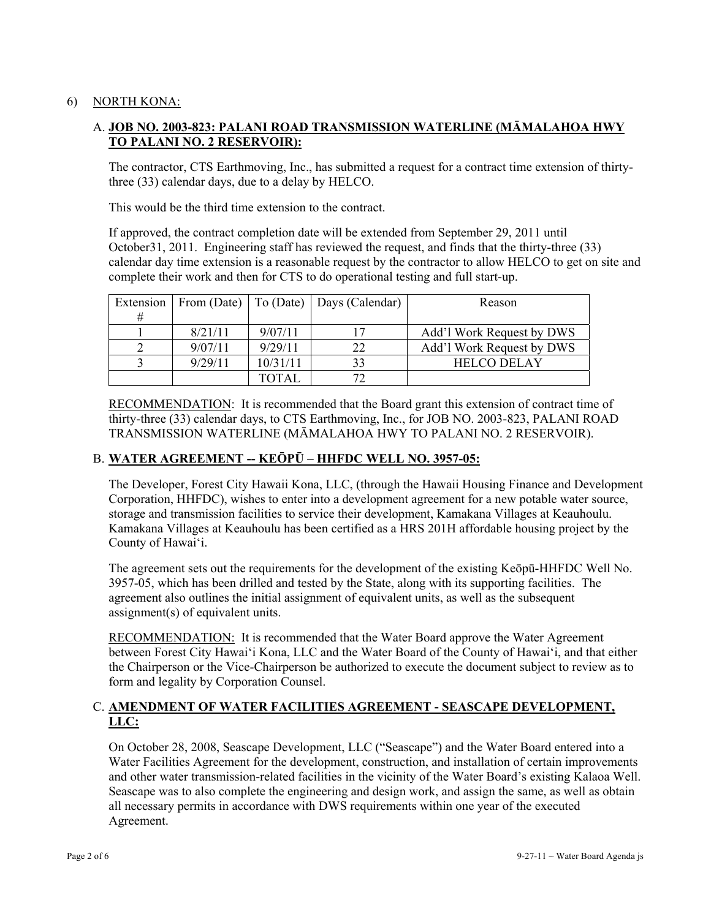## 6) NORTH KONA:

## A. **JOB NO. 2003-823: PALANI ROAD TRANSMISSION WATERLINE (MĀMALAHOA HWY TO PALANI NO. 2 RESERVOIR):**

The contractor, CTS Earthmoving, Inc., has submitted a request for a contract time extension of thirtythree (33) calendar days, due to a delay by HELCO.

This would be the third time extension to the contract.

If approved, the contract completion date will be extended from September 29, 2011 until October31, 2011. Engineering staff has reviewed the request, and finds that the thirty-three (33) calendar day time extension is a reasonable request by the contractor to allow HELCO to get on site and complete their work and then for CTS to do operational testing and full start-up.

| Extension |         |          | From (Date)   To (Date)   Days (Calendar) | Reason                    |
|-----------|---------|----------|-------------------------------------------|---------------------------|
| #         |         |          |                                           |                           |
|           | 8/21/11 | 9/07/11  |                                           | Add'l Work Request by DWS |
|           | 9/07/11 | 9/29/11  | າາ                                        | Add'l Work Request by DWS |
|           | 9/29/11 | 10/31/11 |                                           | <b>HELCO DELAY</b>        |
|           |         | TOTAL    |                                           |                           |

RECOMMENDATION: It is recommended that the Board grant this extension of contract time of thirty-three (33) calendar days, to CTS Earthmoving, Inc., for JOB NO. 2003-823, PALANI ROAD TRANSMISSION WATERLINE (MĀMALAHOA HWY TO PALANI NO. 2 RESERVOIR).

## B. **WATER AGREEMENT -- KEŌPŪ – HHFDC WELL NO. 3957-05:**

The Developer, Forest City Hawaii Kona, LLC, (through the Hawaii Housing Finance and Development Corporation, HHFDC), wishes to enter into a development agreement for a new potable water source, storage and transmission facilities to service their development, Kamakana Villages at Keauhoulu. Kamakana Villages at Keauhoulu has been certified as a HRS 201H affordable housing project by the County of Hawai'i.

The agreement sets out the requirements for the development of the existing Keōpū-HHFDC Well No. 3957-05, which has been drilled and tested by the State, along with its supporting facilities. The agreement also outlines the initial assignment of equivalent units, as well as the subsequent assignment(s) of equivalent units.

RECOMMENDATION: It is recommended that the Water Board approve the Water Agreement between Forest City Hawai'i Kona, LLC and the Water Board of the County of Hawai'i, and that either the Chairperson or the Vice-Chairperson be authorized to execute the document subject to review as to form and legality by Corporation Counsel.

## C. **AMENDMENT OF WATER FACILITIES AGREEMENT - SEASCAPE DEVELOPMENT, LLC:**

On October 28, 2008, Seascape Development, LLC ("Seascape") and the Water Board entered into a Water Facilities Agreement for the development, construction, and installation of certain improvements and other water transmission-related facilities in the vicinity of the Water Board's existing Kalaoa Well. Seascape was to also complete the engineering and design work, and assign the same, as well as obtain all necessary permits in accordance with DWS requirements within one year of the executed Agreement.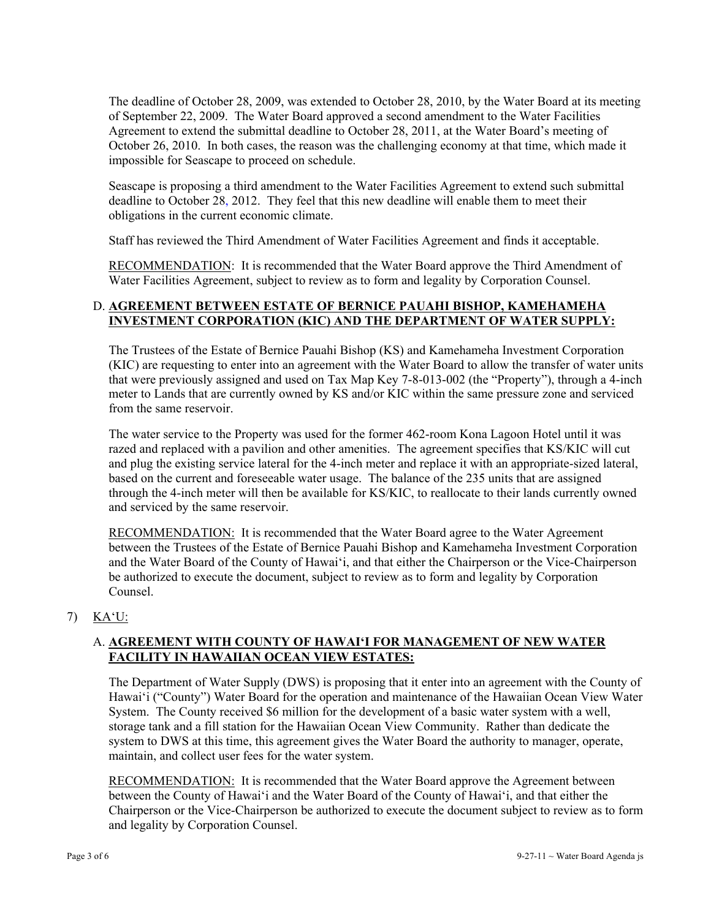The deadline of October 28, 2009, was extended to October 28, 2010, by the Water Board at its meeting of September 22, 2009. The Water Board approved a second amendment to the Water Facilities Agreement to extend the submittal deadline to October 28, 2011, at the Water Board's meeting of October 26, 2010. In both cases, the reason was the challenging economy at that time, which made it impossible for Seascape to proceed on schedule.

Seascape is proposing a third amendment to the Water Facilities Agreement to extend such submittal deadline to October 28, 2012. They feel that this new deadline will enable them to meet their obligations in the current economic climate.

Staff has reviewed the Third Amendment of Water Facilities Agreement and finds it acceptable.

RECOMMENDATION: It is recommended that the Water Board approve the Third Amendment of Water Facilities Agreement, subject to review as to form and legality by Corporation Counsel.

## D. **AGREEMENT BETWEEN ESTATE OF BERNICE PAUAHI BISHOP, KAMEHAMEHA INVESTMENT CORPORATION (KIC) AND THE DEPARTMENT OF WATER SUPPLY:**

The Trustees of the Estate of Bernice Pauahi Bishop (KS) and Kamehameha Investment Corporation (KIC) are requesting to enter into an agreement with the Water Board to allow the transfer of water units that were previously assigned and used on Tax Map Key 7-8-013-002 (the "Property"), through a 4-inch meter to Lands that are currently owned by KS and/or KIC within the same pressure zone and serviced from the same reservoir.

The water service to the Property was used for the former 462-room Kona Lagoon Hotel until it was razed and replaced with a pavilion and other amenities. The agreement specifies that KS/KIC will cut and plug the existing service lateral for the 4-inch meter and replace it with an appropriate-sized lateral, based on the current and foreseeable water usage. The balance of the 235 units that are assigned through the 4-inch meter will then be available for KS/KIC, to reallocate to their lands currently owned and serviced by the same reservoir.

RECOMMENDATION:It is recommended that the Water Board agree to the Water Agreement between the Trustees of the Estate of Bernice Pauahi Bishop and Kamehameha Investment Corporation and the Water Board of the County of Hawai'i, and that either the Chairperson or the Vice-Chairperson be authorized to execute the document, subject to review as to form and legality by Corporation Counsel.

# 7) KA'U:

## A. **AGREEMENT WITH COUNTY OF HAWAI'I FOR MANAGEMENT OF NEW WATER FACILITY IN HAWAIIAN OCEAN VIEW ESTATES:**

The Department of Water Supply (DWS) is proposing that it enter into an agreement with the County of Hawai'i ("County") Water Board for the operation and maintenance of the Hawaiian Ocean View Water System. The County received \$6 million for the development of a basic water system with a well, storage tank and a fill station for the Hawaiian Ocean View Community. Rather than dedicate the system to DWS at this time, this agreement gives the Water Board the authority to manager, operate, maintain, and collect user fees for the water system.

RECOMMENDATION: It is recommended that the Water Board approve the Agreement between between the County of Hawai'i and the Water Board of the County of Hawai'i, and that either the Chairperson or the Vice-Chairperson be authorized to execute the document subject to review as to form and legality by Corporation Counsel.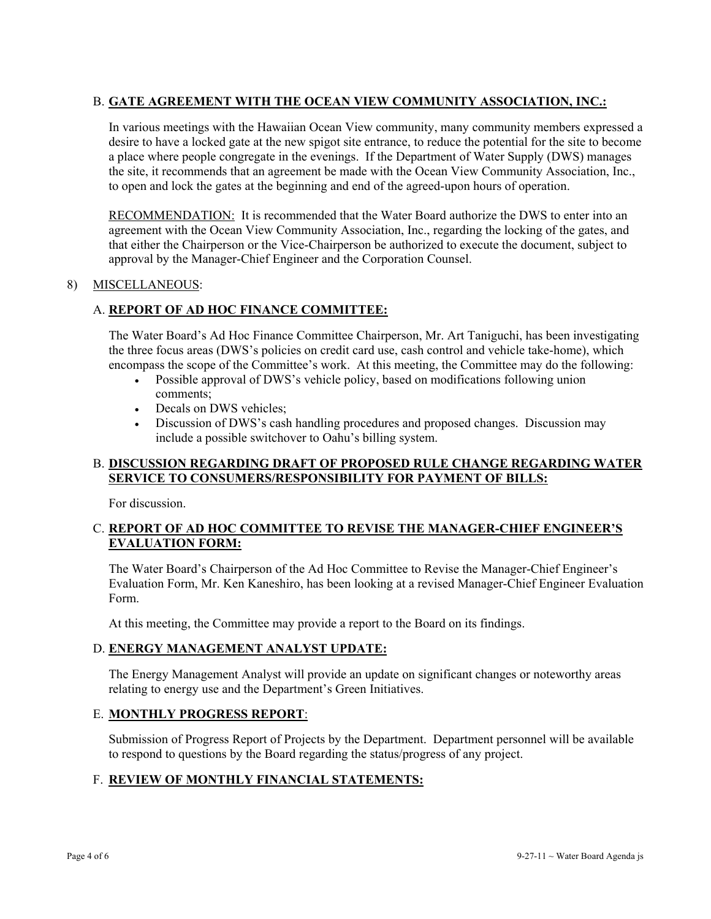## B. **GATE AGREEMENT WITH THE OCEAN VIEW COMMUNITY ASSOCIATION, INC.:**

In various meetings with the Hawaiian Ocean View community, many community members expressed a desire to have a locked gate at the new spigot site entrance, to reduce the potential for the site to become a place where people congregate in the evenings. If the Department of Water Supply (DWS) manages the site, it recommends that an agreement be made with the Ocean View Community Association, Inc., to open and lock the gates at the beginning and end of the agreed-upon hours of operation.

RECOMMENDATION: It is recommended that the Water Board authorize the DWS to enter into an agreement with the Ocean View Community Association, Inc., regarding the locking of the gates, and that either the Chairperson or the Vice-Chairperson be authorized to execute the document, subject to approval by the Manager-Chief Engineer and the Corporation Counsel.

### 8) MISCELLANEOUS:

## A. **REPORT OF AD HOC FINANCE COMMITTEE:**

The Water Board's Ad Hoc Finance Committee Chairperson, Mr. Art Taniguchi, has been investigating the three focus areas (DWS's policies on credit card use, cash control and vehicle take-home), which encompass the scope of the Committee's work. At this meeting, the Committee may do the following:

- Possible approval of DWS's vehicle policy, based on modifications following union comments;
- Decals on DWS vehicles;
- Discussion of DWS's cash handling procedures and proposed changes. Discussion may include a possible switchover to Oahu's billing system.

### B. **DISCUSSION REGARDING DRAFT OF PROPOSED RULE CHANGE REGARDING WATER SERVICE TO CONSUMERS/RESPONSIBILITY FOR PAYMENT OF BILLS:**

For discussion.

## C. **REPORT OF AD HOC COMMITTEE TO REVISE THE MANAGER-CHIEF ENGINEER'S EVALUATION FORM:**

The Water Board's Chairperson of the Ad Hoc Committee to Revise the Manager-Chief Engineer's Evaluation Form, Mr. Ken Kaneshiro, has been looking at a revised Manager-Chief Engineer Evaluation Form.

At this meeting, the Committee may provide a report to the Board on its findings.

### D. **ENERGY MANAGEMENT ANALYST UPDATE:**

The Energy Management Analyst will provide an update on significant changes or noteworthy areas relating to energy use and the Department's Green Initiatives.

### E. **MONTHLY PROGRESS REPORT**:

Submission of Progress Report of Projects by the Department. Department personnel will be available to respond to questions by the Board regarding the status/progress of any project.

### F. **REVIEW OF MONTHLY FINANCIAL STATEMENTS:**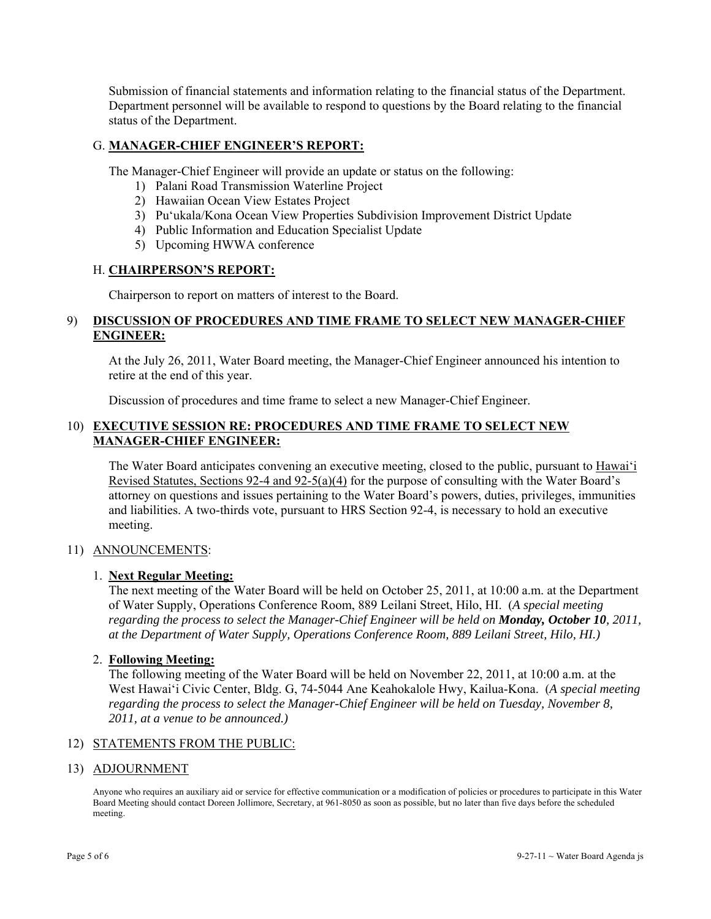Submission of financial statements and information relating to the financial status of the Department. Department personnel will be available to respond to questions by the Board relating to the financial status of the Department.

### G. **MANAGER-CHIEF ENGINEER'S REPORT:**

The Manager-Chief Engineer will provide an update or status on the following:

- 1) Palani Road Transmission Waterline Project
- 2) Hawaiian Ocean View Estates Project
- 3) Pu'ukala/Kona Ocean View Properties Subdivision Improvement District Update
- 4) Public Information and Education Specialist Update
- 5) Upcoming HWWA conference

### H. **CHAIRPERSON'S REPORT:**

Chairperson to report on matters of interest to the Board.

### 9) **DISCUSSION OF PROCEDURES AND TIME FRAME TO SELECT NEW MANAGER-CHIEF ENGINEER:**

At the July 26, 2011, Water Board meeting, the Manager-Chief Engineer announced his intention to retire at the end of this year.

Discussion of procedures and time frame to select a new Manager-Chief Engineer.

### 10) **EXECUTIVE SESSION RE: PROCEDURES AND TIME FRAME TO SELECT NEW MANAGER-CHIEF ENGINEER:**

The Water Board anticipates convening an executive meeting, closed to the public, pursuant to Hawai'i Revised Statutes, Sections 92-4 and 92-5(a)(4) for the purpose of consulting with the Water Board's attorney on questions and issues pertaining to the Water Board's powers, duties, privileges, immunities and liabilities. A two-thirds vote, pursuant to HRS Section 92-4, is necessary to hold an executive meeting.

### 11) ANNOUNCEMENTS:

### 1. **Next Regular Meeting:**

The next meeting of the Water Board will be held on October 25, 2011, at 10:00 a.m. at the Department of Water Supply, Operations Conference Room, 889 Leilani Street, Hilo, HI. (*A special meeting regarding the process to select the Manager-Chief Engineer will be held on Monday, October 10, 2011, at the Department of Water Supply, Operations Conference Room, 889 Leilani Street, Hilo, HI.)*

### 2. **Following Meeting:**

The following meeting of the Water Board will be held on November 22, 2011, at 10:00 a.m. at the West Hawai'i Civic Center, Bldg. G, 74-5044 Ane Keahokalole Hwy, Kailua-Kona. (*A special meeting regarding the process to select the Manager-Chief Engineer will be held on Tuesday, November 8, 2011, at a venue to be announced.)*

### 12) STATEMENTS FROM THE PUBLIC:

#### 13) ADJOURNMENT

Anyone who requires an auxiliary aid or service for effective communication or a modification of policies or procedures to participate in this Water Board Meeting should contact Doreen Jollimore, Secretary, at 961-8050 as soon as possible, but no later than five days before the scheduled meeting.